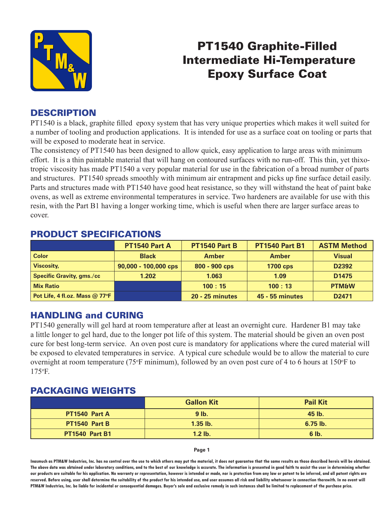

## PT1540 Graphite-Filled Intermediate Hi-Temperature Epoxy Surface Coat

### **DESCRIPTION**

PT1540 is a black, graphite filled epoxy system that has very unique properties which makes it well suited for a number of tooling and production applications. It is intended for use as a surface coat on tooling or parts that will be exposed to moderate heat in service.

The consistency of PT1540 has been designed to allow quick, easy application to large areas with minimum effort. It is a thin paintable material that will hang on contoured surfaces with no run-off. This thin, yet thixotropic viscosity has made PT1540 a very popular material for use in the fabrication of a broad number of parts and structures. PT1540 spreads smoothly with minimum air entrapment and picks up fine surface detail easily. Parts and structures made with PT1540 have good heat resistance, so they will withstand the heat of paint bake ovens, as well as extreme environmental temperatures in service. Two hardeners are available for use with this resin, with the Part B1 having a longer working time, which is useful when there are larger surface areas to cover.

|                                  | PT1540 Part A          | PT1540 Part B          | <b>PT1540 Part B1</b>  | <b>ASTM Method</b> |  |  |  |
|----------------------------------|------------------------|------------------------|------------------------|--------------------|--|--|--|
| <b>Color</b>                     | <b>Black</b>           | <b>Amber</b>           | <b>Amber</b>           | <b>Visual</b>      |  |  |  |
| <b>Viscosity,</b>                | $90,000 - 100,000$ cps | 800 - 900 cps          | <b>1700 cps</b>        | D <sub>2392</sub>  |  |  |  |
| <b>Specific Gravity, gms./cc</b> | 1.202                  | 1.063                  | 1.09                   | D <sub>1475</sub>  |  |  |  |
| <b>Mix Ratio</b>                 |                        | 100:15                 | 100:13                 | <b>PTM&amp;W</b>   |  |  |  |
| Pot Life, 4 fl.oz. Mass @ 77°F   |                        | <b>20 - 25 minutes</b> | <b>45 - 55 minutes</b> | D <sub>2471</sub>  |  |  |  |

### PRODUCT SPECIFICATIONS

#### HANDLING and CURING

PT1540 generally will gel hard at room temperature after at least an overnight cure. Hardener B1 may take a little longer to gel hard, due to the longer pot life of this system. The material should be given an oven post cure for best long-term service. An oven post cure is mandatory for applications where the cured material will be exposed to elevated temperatures in service. A typical cure schedule would be to allow the material to cure overnight at room temperature (75°F minimum), followed by an oven post cure of 4 to 6 hours at 150°F to 175o F.

#### PACKAGING WEIGHTS

|                       | <b>Gallon Kit</b> | <b>Pail Kit</b> |
|-----------------------|-------------------|-----------------|
| PT1540 Part A         | $9$ lb.           | 45 lb.          |
| PT1540 Part B         | $1.35$ lb.        | $6.75$ lb.      |
| <b>PT1540 Part B1</b> | $1.2$ lb.         | 6 lb.           |

**Page 1**

**Inasmuch as PTM&W Industries, Inc. has no control over the use to which others may put the material, it does not guarantee that the same results as those described hereis will be obtained. The above data was obtained under laboratory conditions, and to the best of our knowledge is accurate. The information is presented in good faith to assist the user in determining whether our products are suitable for his application. No warranty or representation, however is intended or made, nor is protection from any law or patent to be inferred, and all patent rights are**  reserved. Before using, user shall determine the suitability of the product for his intended use, and user assumes all risk and liability whatsoever in connection therewith. In no event will **PTM&W Industries, Inc. be liable for incidental or consequential damages. Buyer's sole and exclusive remedy in such instances shall be limited to replacement of the purchase price.**